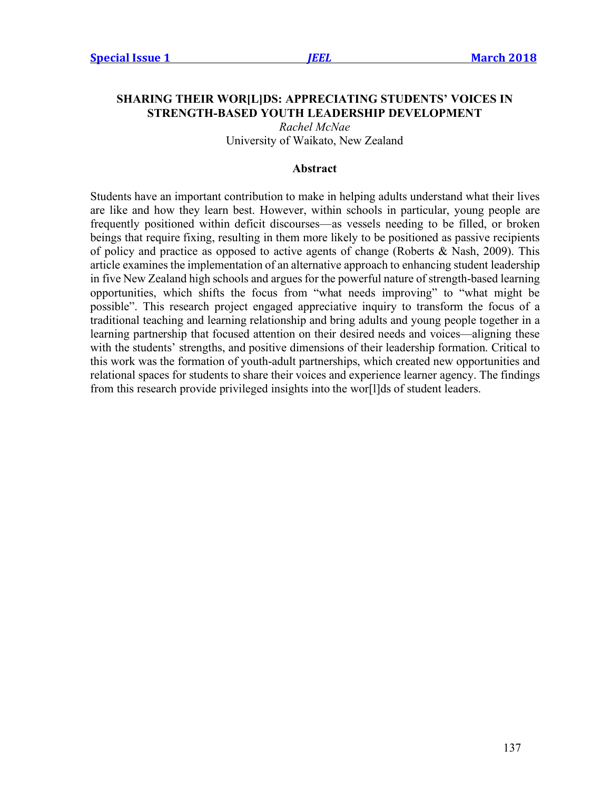# **SHARING THEIR WOR[L]DS: APPRECIATING STUDENTS' VOICES IN STRENGTH-BASED YOUTH LEADERSHIP DEVELOPMENT**

*Rachel McNae* University of Waikato, New Zealand

#### **Abstract**

Students have an important contribution to make in helping adults understand what their lives are like and how they learn best. However, within schools in particular, young people are frequently positioned within deficit discourses—as vessels needing to be filled, or broken beings that require fixing, resulting in them more likely to be positioned as passive recipients of policy and practice as opposed to active agents of change (Roberts & Nash, 2009). This article examines the implementation of an alternative approach to enhancing student leadership in five New Zealand high schools and argues for the powerful nature of strength-based learning opportunities, which shifts the focus from "what needs improving" to "what might be possible". This research project engaged appreciative inquiry to transform the focus of a traditional teaching and learning relationship and bring adults and young people together in a learning partnership that focused attention on their desired needs and voices—aligning these with the students' strengths, and positive dimensions of their leadership formation. Critical to this work was the formation of youth-adult partnerships, which created new opportunities and relational spaces for students to share their voices and experience learner agency. The findings from this research provide privileged insights into the wor[l]ds of student leaders.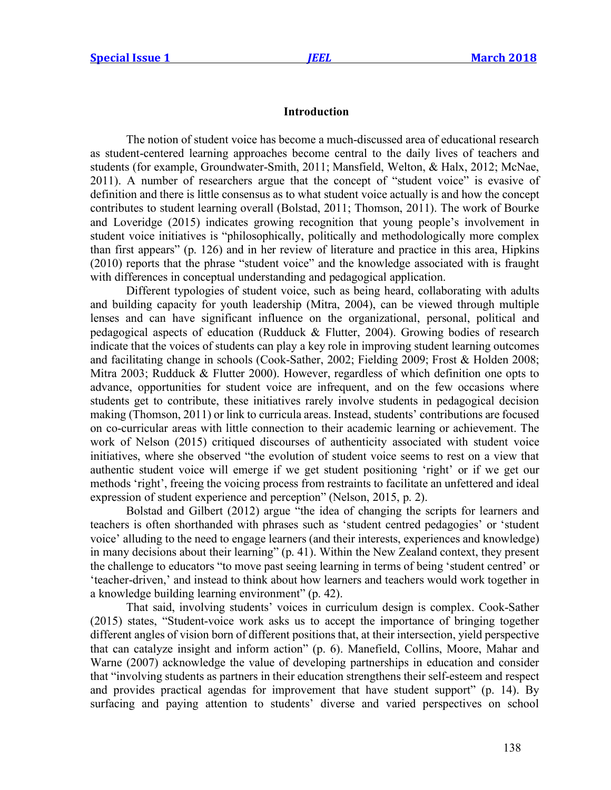#### **Introduction**

The notion of student voice has become a much-discussed area of educational research as student-centered learning approaches become central to the daily lives of teachers and students (for example, Groundwater-Smith, 2011; Mansfield, Welton, & Halx, 2012; McNae, 2011). A number of researchers argue that the concept of "student voice" is evasive of definition and there is little consensus as to what student voice actually is and how the concept contributes to student learning overall (Bolstad, 2011; Thomson, 2011). The work of Bourke and Loveridge (2015) indicates growing recognition that young people's involvement in student voice initiatives is "philosophically, politically and methodologically more complex than first appears" (p. 126) and in her review of literature and practice in this area, Hipkins (2010) reports that the phrase "student voice" and the knowledge associated with is fraught with differences in conceptual understanding and pedagogical application.

Different typologies of student voice, such as being heard, collaborating with adults and building capacity for youth leadership (Mitra, 2004), can be viewed through multiple lenses and can have significant influence on the organizational, personal, political and pedagogical aspects of education (Rudduck & Flutter, 2004). Growing bodies of research indicate that the voices of students can play a key role in improving student learning outcomes and facilitating change in schools (Cook-Sather, 2002; Fielding 2009; Frost & Holden 2008; Mitra 2003; Rudduck & Flutter 2000). However, regardless of which definition one opts to advance, opportunities for student voice are infrequent, and on the few occasions where students get to contribute, these initiatives rarely involve students in pedagogical decision making (Thomson, 2011) or link to curricula areas. Instead, students' contributions are focused on co-curricular areas with little connection to their academic learning or achievement. The work of Nelson (2015) critiqued discourses of authenticity associated with student voice initiatives, where she observed "the evolution of student voice seems to rest on a view that authentic student voice will emerge if we get student positioning 'right' or if we get our methods 'right', freeing the voicing process from restraints to facilitate an unfettered and ideal expression of student experience and perception" (Nelson, 2015, p. 2).

Bolstad and Gilbert (2012) argue "the idea of changing the scripts for learners and teachers is often shorthanded with phrases such as 'student centred pedagogies' or 'student voice' alluding to the need to engage learners (and their interests, experiences and knowledge) in many decisions about their learning" (p. 41). Within the New Zealand context, they present the challenge to educators "to move past seeing learning in terms of being 'student centred' or 'teacher-driven,' and instead to think about how learners and teachers would work together in a knowledge building learning environment" (p. 42).

That said, involving students' voices in curriculum design is complex. Cook-Sather (2015) states, "Student-voice work asks us to accept the importance of bringing together different angles of vision born of different positions that, at their intersection, yield perspective that can catalyze insight and inform action" (p. 6). Manefield, Collins, Moore, Mahar and Warne (2007) acknowledge the value of developing partnerships in education and consider that "involving students as partners in their education strengthens their self-esteem and respect and provides practical agendas for improvement that have student support" (p. 14). By surfacing and paying attention to students' diverse and varied perspectives on school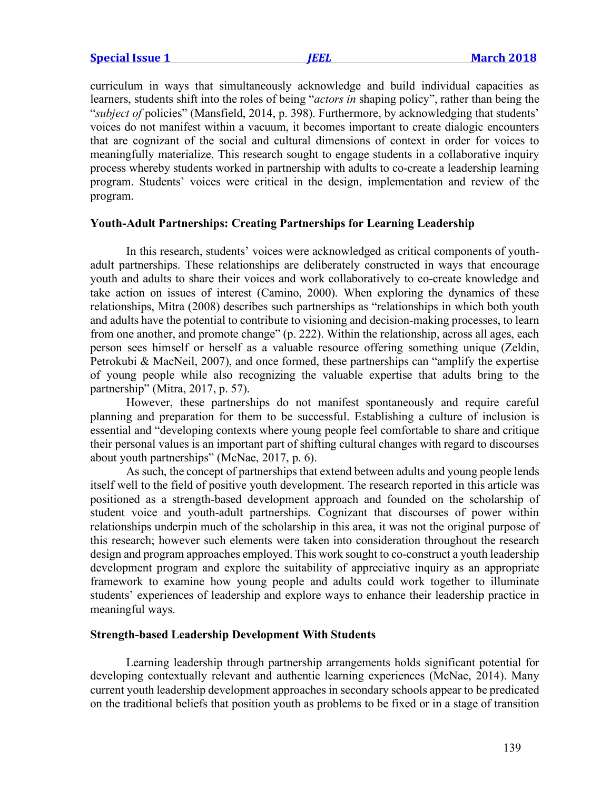curriculum in ways that simultaneously acknowledge and build individual capacities as learners, students shift into the roles of being "*actors in* shaping policy", rather than being the "*subject of* policies" (Mansfield, 2014, p. 398). Furthermore, by acknowledging that students' voices do not manifest within a vacuum, it becomes important to create dialogic encounters that are cognizant of the social and cultural dimensions of context in order for voices to meaningfully materialize. This research sought to engage students in a collaborative inquiry process whereby students worked in partnership with adults to co-create a leadership learning program. Students' voices were critical in the design, implementation and review of the program.

## **Youth-Adult Partnerships: Creating Partnerships for Learning Leadership**

In this research, students' voices were acknowledged as critical components of youthadult partnerships. These relationships are deliberately constructed in ways that encourage youth and adults to share their voices and work collaboratively to co-create knowledge and take action on issues of interest (Camino, 2000). When exploring the dynamics of these relationships, Mitra (2008) describes such partnerships as "relationships in which both youth and adults have the potential to contribute to visioning and decision-making processes, to learn from one another, and promote change" (p. 222). Within the relationship, across all ages, each person sees himself or herself as a valuable resource offering something unique (Zeldin, Petrokubi & MacNeil, 2007), and once formed, these partnerships can "amplify the expertise of young people while also recognizing the valuable expertise that adults bring to the partnership" (Mitra, 2017, p. 57).

However, these partnerships do not manifest spontaneously and require careful planning and preparation for them to be successful. Establishing a culture of inclusion is essential and "developing contexts where young people feel comfortable to share and critique their personal values is an important part of shifting cultural changes with regard to discourses about youth partnerships" (McNae, 2017, p. 6).

As such, the concept of partnerships that extend between adults and young people lends itself well to the field of positive youth development. The research reported in this article was positioned as a strength-based development approach and founded on the scholarship of student voice and youth-adult partnerships. Cognizant that discourses of power within relationships underpin much of the scholarship in this area, it was not the original purpose of this research; however such elements were taken into consideration throughout the research design and program approaches employed. This work sought to co-construct a youth leadership development program and explore the suitability of appreciative inquiry as an appropriate framework to examine how young people and adults could work together to illuminate students' experiences of leadership and explore ways to enhance their leadership practice in meaningful ways.

#### **Strength-based Leadership Development With Students**

Learning leadership through partnership arrangements holds significant potential for developing contextually relevant and authentic learning experiences (McNae, 2014). Many current youth leadership development approaches in secondary schools appear to be predicated on the traditional beliefs that position youth as problems to be fixed or in a stage of transition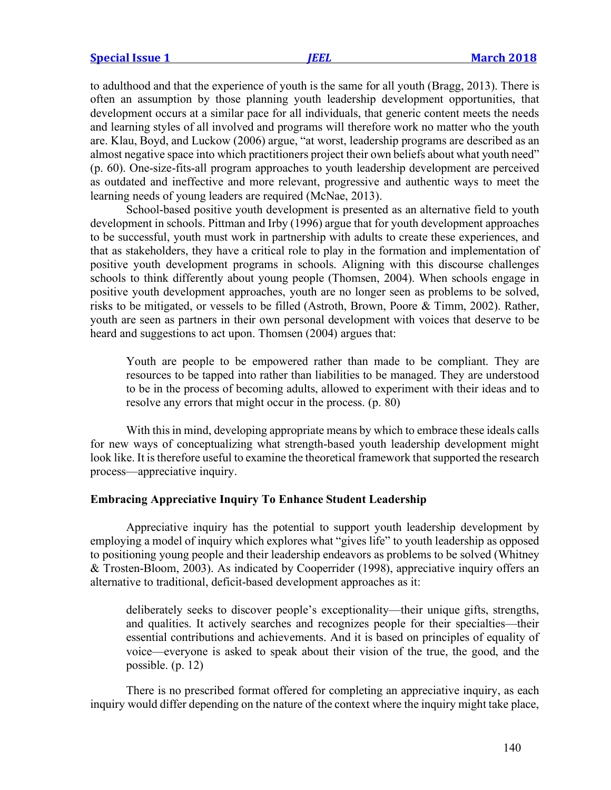to adulthood and that the experience of youth is the same for all youth (Bragg, 2013). There is often an assumption by those planning youth leadership development opportunities, that development occurs at a similar pace for all individuals, that generic content meets the needs and learning styles of all involved and programs will therefore work no matter who the youth are. Klau, Boyd, and Luckow (2006) argue, "at worst, leadership programs are described as an almost negative space into which practitioners project their own beliefs about what youth need" (p. 60). One-size-fits-all program approaches to youth leadership development are perceived as outdated and ineffective and more relevant, progressive and authentic ways to meet the learning needs of young leaders are required (McNae, 2013).

School-based positive youth development is presented as an alternative field to youth development in schools. Pittman and Irby (1996) argue that for youth development approaches to be successful, youth must work in partnership with adults to create these experiences, and that as stakeholders, they have a critical role to play in the formation and implementation of positive youth development programs in schools. Aligning with this discourse challenges schools to think differently about young people (Thomsen, 2004). When schools engage in positive youth development approaches, youth are no longer seen as problems to be solved, risks to be mitigated, or vessels to be filled (Astroth, Brown, Poore & Timm, 2002). Rather, youth are seen as partners in their own personal development with voices that deserve to be heard and suggestions to act upon. Thomsen (2004) argues that:

Youth are people to be empowered rather than made to be compliant. They are resources to be tapped into rather than liabilities to be managed. They are understood to be in the process of becoming adults, allowed to experiment with their ideas and to resolve any errors that might occur in the process. (p. 80)

With this in mind, developing appropriate means by which to embrace these ideals calls for new ways of conceptualizing what strength-based youth leadership development might look like. It is therefore useful to examine the theoretical framework that supported the research process—appreciative inquiry.

# **Embracing Appreciative Inquiry To Enhance Student Leadership**

Appreciative inquiry has the potential to support youth leadership development by employing a model of inquiry which explores what "gives life" to youth leadership as opposed to positioning young people and their leadership endeavors as problems to be solved (Whitney & Trosten-Bloom, 2003). As indicated by Cooperrider (1998), appreciative inquiry offers an alternative to traditional, deficit-based development approaches as it:

deliberately seeks to discover people's exceptionality—their unique gifts, strengths, and qualities. It actively searches and recognizes people for their specialties—their essential contributions and achievements. And it is based on principles of equality of voice—everyone is asked to speak about their vision of the true, the good, and the possible. (p. 12)

There is no prescribed format offered for completing an appreciative inquiry, as each inquiry would differ depending on the nature of the context where the inquiry might take place,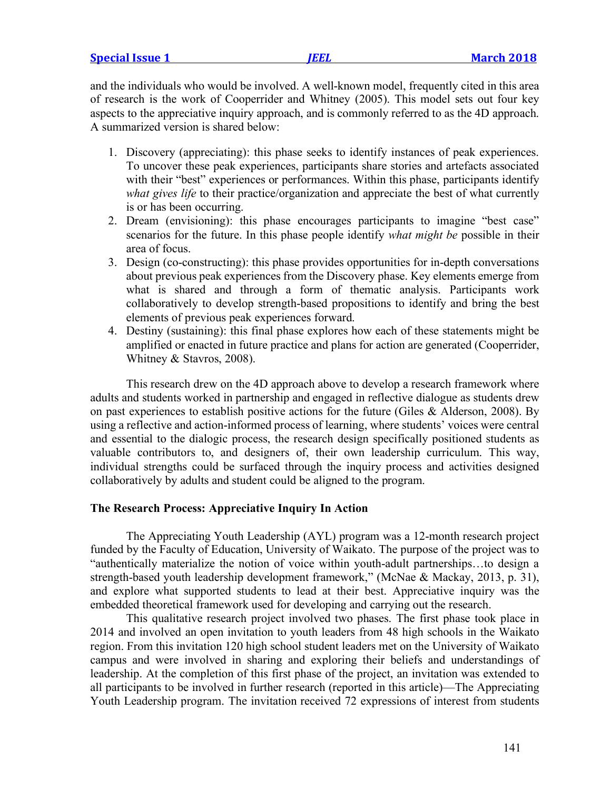|  | <b>Special Issue 1</b> |  |
|--|------------------------|--|
|  |                        |  |

and the individuals who would be involved. A well-known model, frequently cited in this area of research is the work of Cooperrider and Whitney (2005). This model sets out four key aspects to the appreciative inquiry approach, and is commonly referred to as the 4D approach. A summarized version is shared below:

- 1. Discovery (appreciating): this phase seeks to identify instances of peak experiences. To uncover these peak experiences, participants share stories and artefacts associated with their "best" experiences or performances. Within this phase, participants identify *what gives life* to their practice/organization and appreciate the best of what currently is or has been occurring.
- 2. Dream (envisioning): this phase encourages participants to imagine "best case" scenarios for the future. In this phase people identify *what might be* possible in their area of focus.
- 3. Design (co-constructing): this phase provides opportunities for in-depth conversations about previous peak experiences from the Discovery phase. Key elements emerge from what is shared and through a form of thematic analysis. Participants work collaboratively to develop strength-based propositions to identify and bring the best elements of previous peak experiences forward.
- 4. Destiny (sustaining): this final phase explores how each of these statements might be amplified or enacted in future practice and plans for action are generated (Cooperrider, Whitney & Stavros, 2008).

This research drew on the 4D approach above to develop a research framework where adults and students worked in partnership and engaged in reflective dialogue as students drew on past experiences to establish positive actions for the future (Giles & Alderson, 2008). By using a reflective and action-informed process of learning, where students' voices were central and essential to the dialogic process, the research design specifically positioned students as valuable contributors to, and designers of, their own leadership curriculum. This way, individual strengths could be surfaced through the inquiry process and activities designed collaboratively by adults and student could be aligned to the program.

#### **The Research Process: Appreciative Inquiry In Action**

The Appreciating Youth Leadership (AYL) program was a 12-month research project funded by the Faculty of Education, University of Waikato. The purpose of the project was to "authentically materialize the notion of voice within youth-adult partnerships…to design a strength-based youth leadership development framework," (McNae & Mackay, 2013, p. 31), and explore what supported students to lead at their best. Appreciative inquiry was the embedded theoretical framework used for developing and carrying out the research.

This qualitative research project involved two phases. The first phase took place in 2014 and involved an open invitation to youth leaders from 48 high schools in the Waikato region. From this invitation 120 high school student leaders met on the University of Waikato campus and were involved in sharing and exploring their beliefs and understandings of leadership. At the completion of this first phase of the project, an invitation was extended to all participants to be involved in further research (reported in this article)—The Appreciating Youth Leadership program. The invitation received 72 expressions of interest from students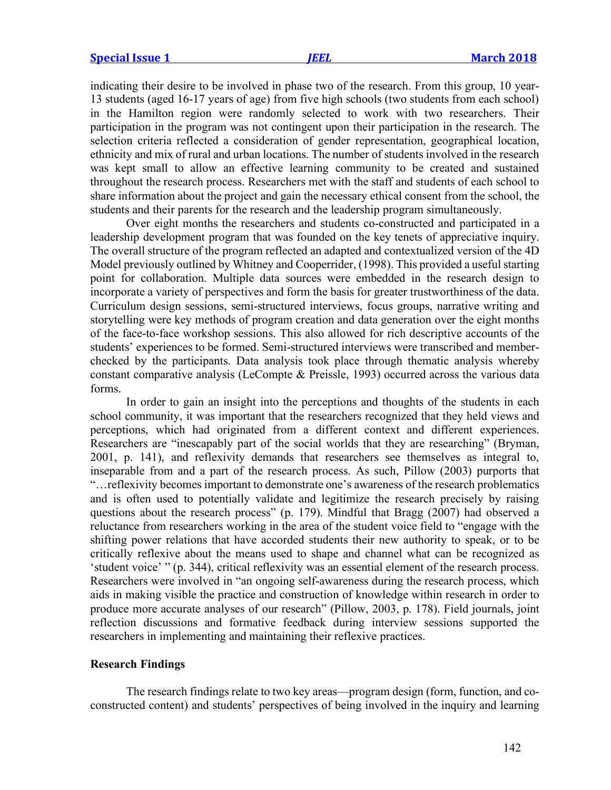indicating their desire to be involved in phase two of the research. From this group, 10 year-13 students (aged 16-17 years of age) from five high schools (two students from each school) in the Hamilton region were randomly selected to work with two researchers. Their participation in the program was not contingent upon their participation in the research. The selection criteria reflected a consideration of gender representation, geographical location, ethnicity and mix of rural and urban locations. The number of students involved in the research was kept small to allow an effective learning community to be created and sustained throughout the research process. Researchers met with the staff and students of each school to share information about the project and gain the necessary ethical consent from the school, the students and their parents for the research and the leadership program simultaneously.

Over eight months the researchers and students co-constructed and participated in a leadership development program that was founded on the key tenets of appreciative inquiry. The overall structure of the program reflected an adapted and contextualized version of the 4D Model previously outlined by Whitney and Cooperrider, (1998). This provided a useful starting point for collaboration. Multiple data sources were embedded in the research design to incorporate a variety of perspectives and form the basis for greater trustworthiness of the data. Curriculum design sessions, semi-structured interviews, focus groups, narrative writing and storytelling were key methods of program creation and data generation over the eight months of the face-to-face workshop sessions. This also allowed for rich descriptive accounts of the students' experiences to be formed. Semi-structured interviews were transcribed and memberchecked by the participants. Data analysis took place through thematic analysis whereby constant comparative analysis (LeCompte & Preissle, 1993) occurred across the various data forms.

In order to gain an insight into the perceptions and thoughts of the students in each school community, it was important that the researchers recognized that they held views and perceptions, which had originated from a different context and different experiences. Researchers are "inescapably part of the social worlds that they are researching" (Bryman, 2001, p. 141), and reflexivity demands that researchers see themselves as integral to, inseparable from and a part of the research process. As such, Pillow (2003) purports that "…reflexivity becomes important to demonstrate one's awareness of the research problematics and is often used to potentially validate and legitimize the research precisely by raising questions about the research process" (p. 179). Mindful that Bragg (2007) had observed a reluctance from researchers working in the area of the student voice field to "engage with the shifting power relations that have accorded students their new authority to speak, or to be critically reflexive about the means used to shape and channel what can be recognized as 'student voice' " (p. 344), critical reflexivity was an essential element of the research process. Researchers were involved in "an ongoing self-awareness during the research process, which aids in making visible the practice and construction of knowledge within research in order to produce more accurate analyses of our research" (Pillow, 2003, p. 178). Field journals, joint reflection discussions and formative feedback during interview sessions supported the researchers in implementing and maintaining their reflexive practices.

# **Research Findings**

The research findings relate to two key areas—program design (form, function, and coconstructed content) and students' perspectives of being involved in the inquiry and learning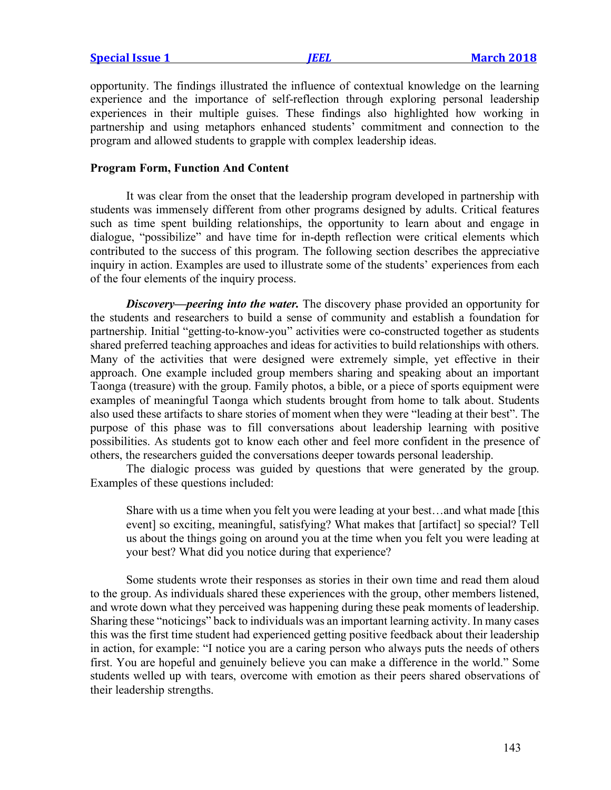opportunity. The findings illustrated the influence of contextual knowledge on the learning experience and the importance of self-reflection through exploring personal leadership experiences in their multiple guises. These findings also highlighted how working in partnership and using metaphors enhanced students' commitment and connection to the program and allowed students to grapple with complex leadership ideas.

#### **Program Form, Function And Content**

It was clear from the onset that the leadership program developed in partnership with students was immensely different from other programs designed by adults. Critical features such as time spent building relationships, the opportunity to learn about and engage in dialogue, "possibilize" and have time for in-depth reflection were critical elements which contributed to the success of this program. The following section describes the appreciative inquiry in action. Examples are used to illustrate some of the students' experiences from each of the four elements of the inquiry process.

*Discovery—peering into the water.* The discovery phase provided an opportunity for the students and researchers to build a sense of community and establish a foundation for partnership. Initial "getting-to-know-you" activities were co-constructed together as students shared preferred teaching approaches and ideas for activities to build relationships with others. Many of the activities that were designed were extremely simple, yet effective in their approach. One example included group members sharing and speaking about an important Taonga (treasure) with the group. Family photos, a bible, or a piece of sports equipment were examples of meaningful Taonga which students brought from home to talk about. Students also used these artifacts to share stories of moment when they were "leading at their best". The purpose of this phase was to fill conversations about leadership learning with positive possibilities. As students got to know each other and feel more confident in the presence of others, the researchers guided the conversations deeper towards personal leadership.

The dialogic process was guided by questions that were generated by the group. Examples of these questions included:

Share with us a time when you felt you were leading at your best…and what made [this event] so exciting, meaningful, satisfying? What makes that [artifact] so special? Tell us about the things going on around you at the time when you felt you were leading at your best? What did you notice during that experience?

Some students wrote their responses as stories in their own time and read them aloud to the group. As individuals shared these experiences with the group, other members listened, and wrote down what they perceived was happening during these peak moments of leadership. Sharing these "noticings" back to individuals was an important learning activity. In many cases this was the first time student had experienced getting positive feedback about their leadership in action, for example: "I notice you are a caring person who always puts the needs of others first. You are hopeful and genuinely believe you can make a difference in the world." Some students welled up with tears, overcome with emotion as their peers shared observations of their leadership strengths.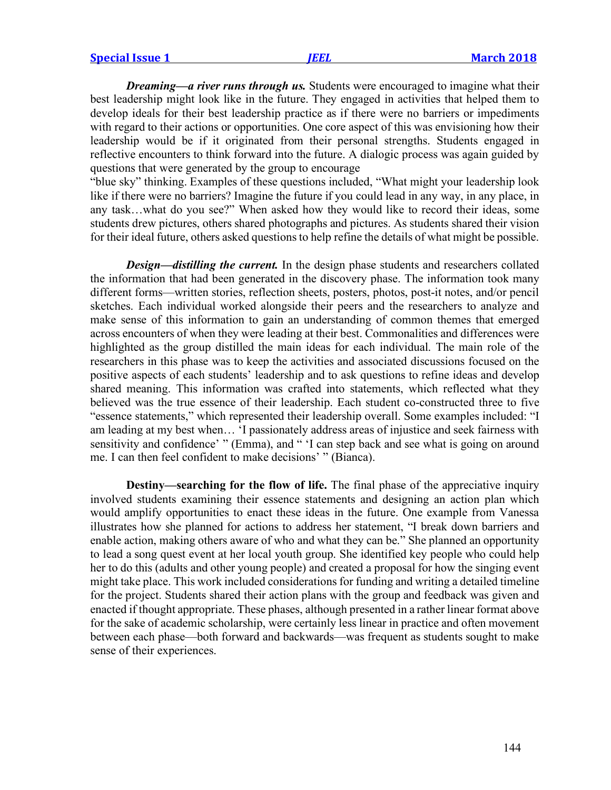|  | <b>Special Issue 1</b> |  |
|--|------------------------|--|
|  |                        |  |

*Dreaming—a river runs through us.* Students were encouraged to imagine what their best leadership might look like in the future. They engaged in activities that helped them to develop ideals for their best leadership practice as if there were no barriers or impediments with regard to their actions or opportunities. One core aspect of this was envisioning how their leadership would be if it originated from their personal strengths. Students engaged in reflective encounters to think forward into the future. A dialogic process was again guided by questions that were generated by the group to encourage

"blue sky" thinking. Examples of these questions included, "What might your leadership look like if there were no barriers? Imagine the future if you could lead in any way, in any place, in any task…what do you see?" When asked how they would like to record their ideas, some students drew pictures, others shared photographs and pictures. As students shared their vision for their ideal future, others asked questions to help refine the details of what might be possible.

*Design—distilling the current.* In the design phase students and researchers collated the information that had been generated in the discovery phase. The information took many different forms—written stories, reflection sheets, posters, photos, post-it notes, and/or pencil sketches. Each individual worked alongside their peers and the researchers to analyze and make sense of this information to gain an understanding of common themes that emerged across encounters of when they were leading at their best. Commonalities and differences were highlighted as the group distilled the main ideas for each individual. The main role of the researchers in this phase was to keep the activities and associated discussions focused on the positive aspects of each students' leadership and to ask questions to refine ideas and develop shared meaning. This information was crafted into statements, which reflected what they believed was the true essence of their leadership. Each student co-constructed three to five "essence statements," which represented their leadership overall. Some examples included: "I am leading at my best when… 'I passionately address areas of injustice and seek fairness with sensitivity and confidence' " (Emma), and " 'I can step back and see what is going on around me. I can then feel confident to make decisions' " (Bianca).

**Destiny—searching for the flow of life.** The final phase of the appreciative inquiry involved students examining their essence statements and designing an action plan which would amplify opportunities to enact these ideas in the future. One example from Vanessa illustrates how she planned for actions to address her statement, "I break down barriers and enable action, making others aware of who and what they can be." She planned an opportunity to lead a song quest event at her local youth group. She identified key people who could help her to do this (adults and other young people) and created a proposal for how the singing event might take place. This work included considerations for funding and writing a detailed timeline for the project. Students shared their action plans with the group and feedback was given and enacted if thought appropriate. These phases, although presented in a rather linear format above for the sake of academic scholarship, were certainly less linear in practice and often movement between each phase—both forward and backwards—was frequent as students sought to make sense of their experiences.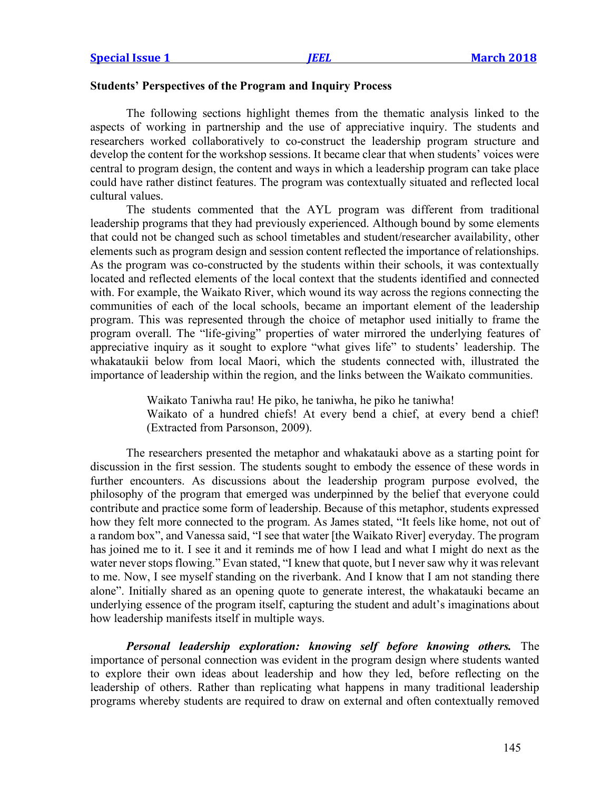## **Students' Perspectives of the Program and Inquiry Process**

The following sections highlight themes from the thematic analysis linked to the aspects of working in partnership and the use of appreciative inquiry. The students and researchers worked collaboratively to co-construct the leadership program structure and develop the content for the workshop sessions. It became clear that when students' voices were central to program design, the content and ways in which a leadership program can take place could have rather distinct features. The program was contextually situated and reflected local cultural values.

The students commented that the AYL program was different from traditional leadership programs that they had previously experienced. Although bound by some elements that could not be changed such as school timetables and student/researcher availability, other elements such as program design and session content reflected the importance of relationships. As the program was co-constructed by the students within their schools, it was contextually located and reflected elements of the local context that the students identified and connected with. For example, the Waikato River, which wound its way across the regions connecting the communities of each of the local schools, became an important element of the leadership program. This was represented through the choice of metaphor used initially to frame the program overall. The "life-giving" properties of water mirrored the underlying features of appreciative inquiry as it sought to explore "what gives life" to students' leadership. The whakataukii below from local Maori, which the students connected with, illustrated the importance of leadership within the region, and the links between the Waikato communities.

Waikato Taniwha rau! He piko, he taniwha, he piko he taniwha!

Waikato of a hundred chiefs! At every bend a chief, at every bend a chief! (Extracted from Parsonson, 2009).

The researchers presented the metaphor and whakatauki above as a starting point for discussion in the first session. The students sought to embody the essence of these words in further encounters. As discussions about the leadership program purpose evolved, the philosophy of the program that emerged was underpinned by the belief that everyone could contribute and practice some form of leadership. Because of this metaphor, students expressed how they felt more connected to the program. As James stated, "It feels like home, not out of a random box", and Vanessa said, "I see that water [the Waikato River] everyday. The program has joined me to it. I see it and it reminds me of how I lead and what I might do next as the water never stops flowing." Evan stated, "I knew that quote, but I never saw why it was relevant to me. Now, I see myself standing on the riverbank. And I know that I am not standing there alone". Initially shared as an opening quote to generate interest, the whakatauki became an underlying essence of the program itself, capturing the student and adult's imaginations about how leadership manifests itself in multiple ways.

*Personal leadership exploration: knowing self before knowing others.* The importance of personal connection was evident in the program design where students wanted to explore their own ideas about leadership and how they led, before reflecting on the leadership of others. Rather than replicating what happens in many traditional leadership programs whereby students are required to draw on external and often contextually removed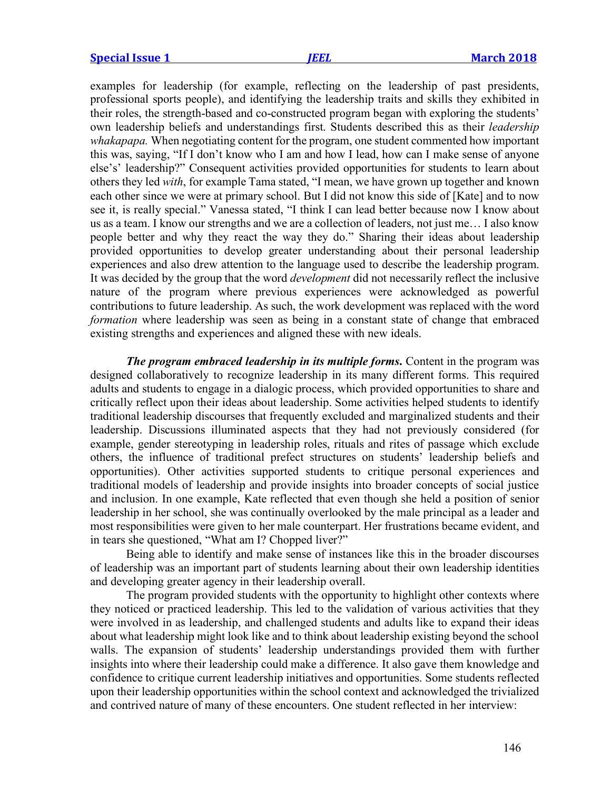examples for leadership (for example, reflecting on the leadership of past presidents, professional sports people), and identifying the leadership traits and skills they exhibited in their roles, the strength-based and co-constructed program began with exploring the students' own leadership beliefs and understandings first. Students described this as their *leadership whakapapa.* When negotiating content for the program, one student commented how important this was, saying, "If I don't know who I am and how I lead, how can I make sense of anyone else's' leadership?" Consequent activities provided opportunities for students to learn about others they led *with*, for example Tama stated, "I mean, we have grown up together and known each other since we were at primary school. But I did not know this side of [Kate] and to now see it, is really special." Vanessa stated, "I think I can lead better because now I know about us as a team. I know our strengths and we are a collection of leaders, not just me… I also know people better and why they react the way they do." Sharing their ideas about leadership provided opportunities to develop greater understanding about their personal leadership experiences and also drew attention to the language used to describe the leadership program. It was decided by the group that the word *development* did not necessarily reflect the inclusive nature of the program where previous experiences were acknowledged as powerful contributions to future leadership. As such, the work development was replaced with the word *formation* where leadership was seen as being in a constant state of change that embraced existing strengths and experiences and aligned these with new ideals.

*The program embraced leadership in its multiple forms*. Content in the program was designed collaboratively to recognize leadership in its many different forms. This required adults and students to engage in a dialogic process, which provided opportunities to share and critically reflect upon their ideas about leadership. Some activities helped students to identify traditional leadership discourses that frequently excluded and marginalized students and their leadership. Discussions illuminated aspects that they had not previously considered (for example, gender stereotyping in leadership roles, rituals and rites of passage which exclude others, the influence of traditional prefect structures on students' leadership beliefs and opportunities). Other activities supported students to critique personal experiences and traditional models of leadership and provide insights into broader concepts of social justice and inclusion. In one example, Kate reflected that even though she held a position of senior leadership in her school, she was continually overlooked by the male principal as a leader and most responsibilities were given to her male counterpart. Her frustrations became evident, and in tears she questioned, "What am I? Chopped liver?"

Being able to identify and make sense of instances like this in the broader discourses of leadership was an important part of students learning about their own leadership identities and developing greater agency in their leadership overall.

The program provided students with the opportunity to highlight other contexts where they noticed or practiced leadership. This led to the validation of various activities that they were involved in as leadership, and challenged students and adults like to expand their ideas about what leadership might look like and to think about leadership existing beyond the school walls. The expansion of students' leadership understandings provided them with further insights into where their leadership could make a difference. It also gave them knowledge and confidence to critique current leadership initiatives and opportunities. Some students reflected upon their leadership opportunities within the school context and acknowledged the trivialized and contrived nature of many of these encounters. One student reflected in her interview: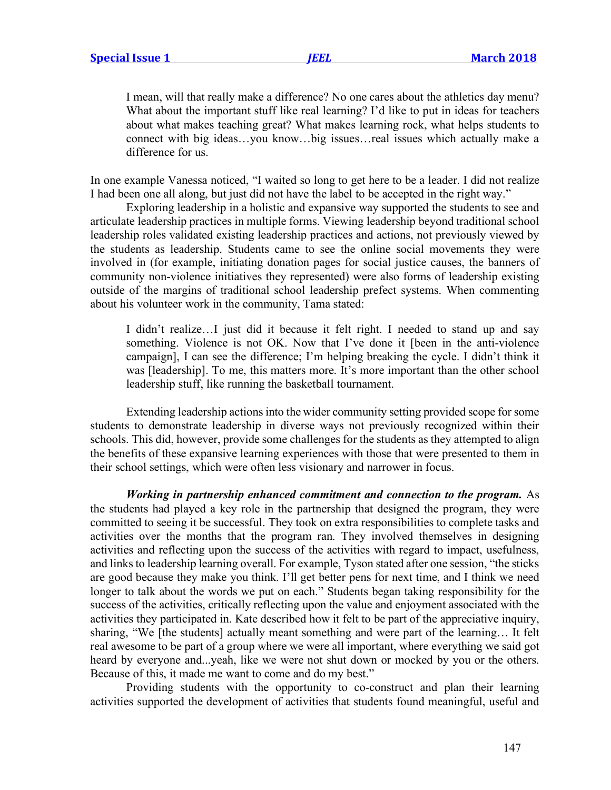I mean, will that really make a difference? No one cares about the athletics day menu? What about the important stuff like real learning? I'd like to put in ideas for teachers about what makes teaching great? What makes learning rock, what helps students to connect with big ideas…you know…big issues…real issues which actually make a difference for us.

In one example Vanessa noticed, "I waited so long to get here to be a leader. I did not realize I had been one all along, but just did not have the label to be accepted in the right way."

Exploring leadership in a holistic and expansive way supported the students to see and articulate leadership practices in multiple forms. Viewing leadership beyond traditional school leadership roles validated existing leadership practices and actions, not previously viewed by the students as leadership. Students came to see the online social movements they were involved in (for example, initiating donation pages for social justice causes, the banners of community non-violence initiatives they represented) were also forms of leadership existing outside of the margins of traditional school leadership prefect systems. When commenting about his volunteer work in the community, Tama stated:

I didn't realize…I just did it because it felt right. I needed to stand up and say something. Violence is not OK. Now that I've done it [been in the anti-violence campaign], I can see the difference; I'm helping breaking the cycle. I didn't think it was [leadership]. To me, this matters more. It's more important than the other school leadership stuff, like running the basketball tournament.

Extending leadership actions into the wider community setting provided scope for some students to demonstrate leadership in diverse ways not previously recognized within their schools. This did, however, provide some challenges for the students as they attempted to align the benefits of these expansive learning experiences with those that were presented to them in their school settings, which were often less visionary and narrower in focus.

*Working in partnership enhanced commitment and connection to the program.* As the students had played a key role in the partnership that designed the program, they were committed to seeing it be successful. They took on extra responsibilities to complete tasks and activities over the months that the program ran. They involved themselves in designing activities and reflecting upon the success of the activities with regard to impact, usefulness, and links to leadership learning overall. For example, Tyson stated after one session, "the sticks are good because they make you think. I'll get better pens for next time, and I think we need longer to talk about the words we put on each." Students began taking responsibility for the success of the activities, critically reflecting upon the value and enjoyment associated with the activities they participated in. Kate described how it felt to be part of the appreciative inquiry, sharing, "We [the students] actually meant something and were part of the learning… It felt real awesome to be part of a group where we were all important, where everything we said got heard by everyone and...yeah, like we were not shut down or mocked by you or the others. Because of this, it made me want to come and do my best."

Providing students with the opportunity to co-construct and plan their learning activities supported the development of activities that students found meaningful, useful and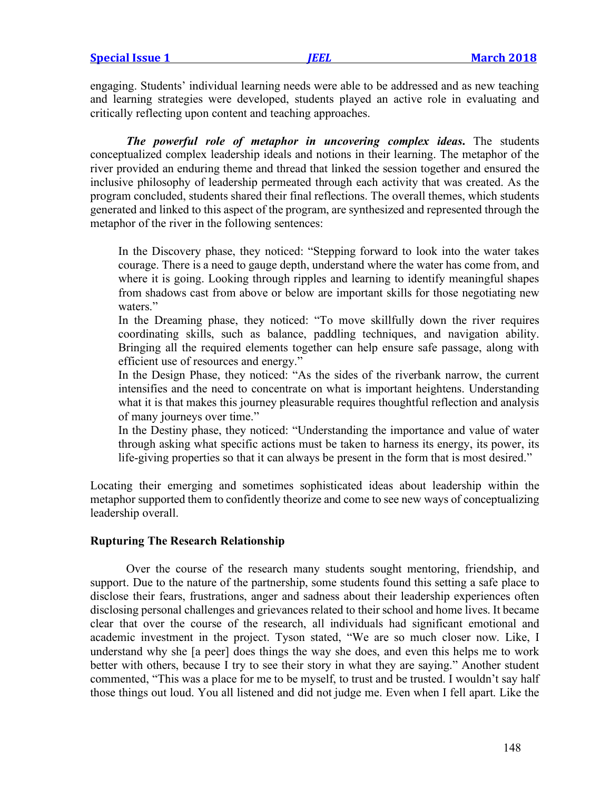**Special Issue 1** *JEEL* **March 2018**

engaging. Students' individual learning needs were able to be addressed and as new teaching and learning strategies were developed, students played an active role in evaluating and critically reflecting upon content and teaching approaches.

*The powerful role of metaphor in uncovering complex ideas***.** The students conceptualized complex leadership ideals and notions in their learning. The metaphor of the river provided an enduring theme and thread that linked the session together and ensured the inclusive philosophy of leadership permeated through each activity that was created. As the program concluded, students shared their final reflections. The overall themes, which students generated and linked to this aspect of the program, are synthesized and represented through the metaphor of the river in the following sentences:

In the Discovery phase, they noticed: "Stepping forward to look into the water takes courage. There is a need to gauge depth, understand where the water has come from, and where it is going. Looking through ripples and learning to identify meaningful shapes from shadows cast from above or below are important skills for those negotiating new waters."

In the Dreaming phase, they noticed: "To move skillfully down the river requires coordinating skills, such as balance, paddling techniques, and navigation ability. Bringing all the required elements together can help ensure safe passage, along with efficient use of resources and energy."

In the Design Phase, they noticed: "As the sides of the riverbank narrow, the current intensifies and the need to concentrate on what is important heightens. Understanding what it is that makes this journey pleasurable requires thoughtful reflection and analysis of many journeys over time."

In the Destiny phase, they noticed: "Understanding the importance and value of water through asking what specific actions must be taken to harness its energy, its power, its life-giving properties so that it can always be present in the form that is most desired."

Locating their emerging and sometimes sophisticated ideas about leadership within the metaphor supported them to confidently theorize and come to see new ways of conceptualizing leadership overall.

## **Rupturing The Research Relationship**

Over the course of the research many students sought mentoring, friendship, and support. Due to the nature of the partnership, some students found this setting a safe place to disclose their fears, frustrations, anger and sadness about their leadership experiences often disclosing personal challenges and grievances related to their school and home lives. It became clear that over the course of the research, all individuals had significant emotional and academic investment in the project. Tyson stated, "We are so much closer now. Like, I understand why she [a peer] does things the way she does, and even this helps me to work better with others, because I try to see their story in what they are saying." Another student commented, "This was a place for me to be myself, to trust and be trusted. I wouldn't say half those things out loud. You all listened and did not judge me. Even when I fell apart. Like the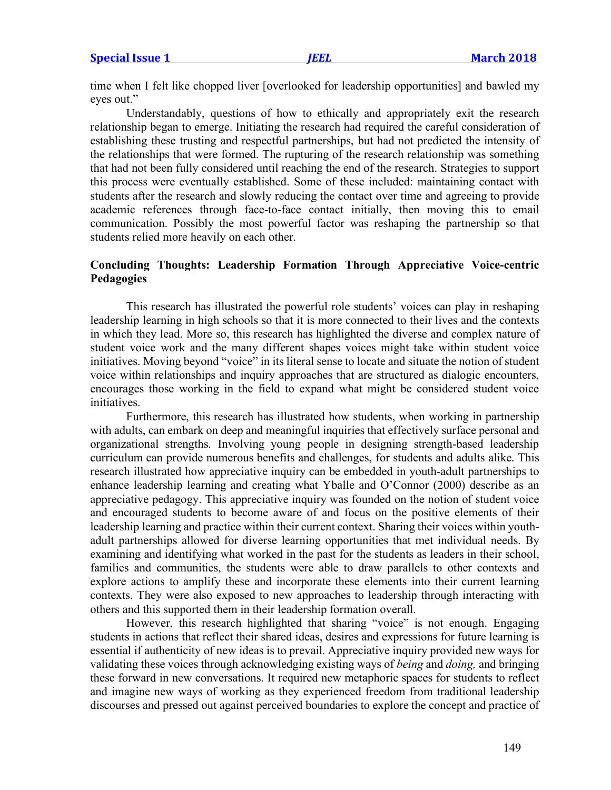time when I felt like chopped liver [overlooked for leadership opportunities] and bawled my eyes out."

Understandably, questions of how to ethically and appropriately exit the research relationship began to emerge. Initiating the research had required the careful consideration of establishing these trusting and respectful partnerships, but had not predicted the intensity of the relationships that were formed. The rupturing of the research relationship was something that had not been fully considered until reaching the end of the research. Strategies to support this process were eventually established. Some of these included: maintaining contact with students after the research and slowly reducing the contact over time and agreeing to provide academic references through face-to-face contact initially, then moving this to email communication. Possibly the most powerful factor was reshaping the partnership so that students relied more heavily on each other.

# **Concluding Thoughts: Leadership Formation Through Appreciative Voice-centric Pedagogies**

This research has illustrated the powerful role students' voices can play in reshaping leadership learning in high schools so that it is more connected to their lives and the contexts in which they lead. More so, this research has highlighted the diverse and complex nature of student voice work and the many different shapes voices might take within student voice initiatives. Moving beyond "voice" in its literal sense to locate and situate the notion of student voice within relationships and inquiry approaches that are structured as dialogic encounters, encourages those working in the field to expand what might be considered student voice initiatives.

Furthermore, this research has illustrated how students, when working in partnership with adults, can embark on deep and meaningful inquiries that effectively surface personal and organizational strengths. Involving young people in designing strength-based leadership curriculum can provide numerous benefits and challenges, for students and adults alike. This research illustrated how appreciative inquiry can be embedded in youth-adult partnerships to enhance leadership learning and creating what Yballe and O'Connor (2000) describe as an appreciative pedagogy. This appreciative inquiry was founded on the notion of student voice and encouraged students to become aware of and focus on the positive elements of their leadership learning and practice within their current context. Sharing their voices within youthadult partnerships allowed for diverse learning opportunities that met individual needs. By examining and identifying what worked in the past for the students as leaders in their school, families and communities, the students were able to draw parallels to other contexts and explore actions to amplify these and incorporate these elements into their current learning contexts. They were also exposed to new approaches to leadership through interacting with others and this supported them in their leadership formation overall.

However, this research highlighted that sharing "voice" is not enough. Engaging students in actions that reflect their shared ideas, desires and expressions for future learning is essential if authenticity of new ideas is to prevail. Appreciative inquiry provided new ways for validating these voices through acknowledging existing ways of *being* and *doing,* and bringing these forward in new conversations. It required new metaphoric spaces for students to reflect and imagine new ways of working as they experienced freedom from traditional leadership discourses and pressed out against perceived boundaries to explore the concept and practice of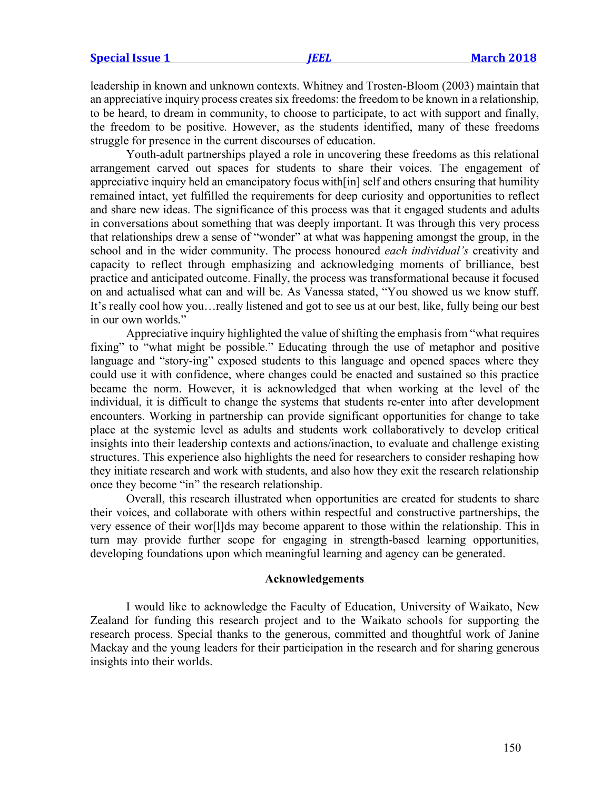leadership in known and unknown contexts. Whitney and Trosten-Bloom (2003) maintain that an appreciative inquiry process creates six freedoms: the freedom to be known in a relationship, to be heard, to dream in community, to choose to participate, to act with support and finally, the freedom to be positive. However, as the students identified, many of these freedoms struggle for presence in the current discourses of education.

Youth-adult partnerships played a role in uncovering these freedoms as this relational arrangement carved out spaces for students to share their voices. The engagement of appreciative inquiry held an emancipatory focus with[in] self and others ensuring that humility remained intact, yet fulfilled the requirements for deep curiosity and opportunities to reflect and share new ideas. The significance of this process was that it engaged students and adults in conversations about something that was deeply important. It was through this very process that relationships drew a sense of "wonder" at what was happening amongst the group, in the school and in the wider community. The process honoured *each individual's* creativity and capacity to reflect through emphasizing and acknowledging moments of brilliance, best practice and anticipated outcome. Finally, the process was transformational because it focused on and actualised what can and will be. As Vanessa stated, "You showed us we know stuff. It's really cool how you…really listened and got to see us at our best, like, fully being our best in our own worlds."

Appreciative inquiry highlighted the value of shifting the emphasis from "what requires fixing" to "what might be possible." Educating through the use of metaphor and positive language and "story-ing" exposed students to this language and opened spaces where they could use it with confidence, where changes could be enacted and sustained so this practice became the norm. However, it is acknowledged that when working at the level of the individual, it is difficult to change the systems that students re-enter into after development encounters. Working in partnership can provide significant opportunities for change to take place at the systemic level as adults and students work collaboratively to develop critical insights into their leadership contexts and actions/inaction, to evaluate and challenge existing structures. This experience also highlights the need for researchers to consider reshaping how they initiate research and work with students, and also how they exit the research relationship once they become "in" the research relationship.

Overall, this research illustrated when opportunities are created for students to share their voices, and collaborate with others within respectful and constructive partnerships, the very essence of their wor[l]ds may become apparent to those within the relationship. This in turn may provide further scope for engaging in strength-based learning opportunities, developing foundations upon which meaningful learning and agency can be generated.

#### **Acknowledgements**

I would like to acknowledge the Faculty of Education, University of Waikato, New Zealand for funding this research project and to the Waikato schools for supporting the research process. Special thanks to the generous, committed and thoughtful work of Janine Mackay and the young leaders for their participation in the research and for sharing generous insights into their worlds.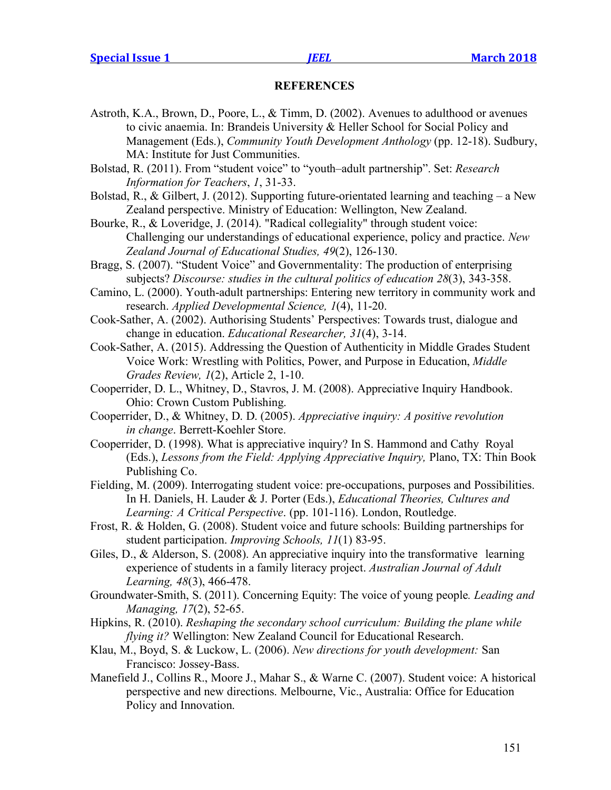#### **REFERENCES**

- Astroth, K.A., Brown, D., Poore, L., & Timm, D. (2002). Avenues to adulthood or avenues to civic anaemia. In: Brandeis University & Heller School for Social Policy and Management (Eds.), *Community Youth Development Anthology* (pp. 12-18). Sudbury, MA: Institute for Just Communities.
- Bolstad, R. (2011). From "student voice" to "youth–adult partnership". Set: *Research Information for Teachers*, *1*, 31-33.
- Bolstad, R., & Gilbert, J. (2012). Supporting future-orientated learning and teaching a New Zealand perspective. Ministry of Education: Wellington, New Zealand.
- Bourke, R., & Loveridge, J. (2014). "Radical collegiality" through student voice: Challenging our understandings of educational experience, policy and practice. *New Zealand Journal of Educational Studies, 49*(2), 126-130.
- Bragg, S. (2007). "Student Voice" and Governmentality: The production of enterprising subjects? *Discourse: studies in the cultural politics of education 28*(3), 343-358.
- Camino, L. (2000). Youth-adult partnerships: Entering new territory in community work and research. *Applied Developmental Science, 1*(4), 11-20.
- Cook-Sather, A. (2002). Authorising Students' Perspectives: Towards trust, dialogue and change in education. *Educational Researcher, 31*(4), 3-14.
- Cook-Sather, A. (2015). Addressing the Question of Authenticity in Middle Grades Student Voice Work: Wrestling with Politics, Power, and Purpose in Education, *Middle Grades Review, 1*(2), Article 2, 1-10.
- Cooperrider, D. L., Whitney, D., Stavros, J. M. (2008). Appreciative Inquiry Handbook. Ohio: Crown Custom Publishing.
- Cooperrider, D., & Whitney, D. D. (2005). *Appreciative inquiry: A positive revolution in change*. Berrett-Koehler Store.
- Cooperrider, D. (1998). What is appreciative inquiry? In S. Hammond and Cathy Royal (Eds.), *Lessons from the Field: Applying Appreciative Inquiry,* Plano, TX: Thin Book Publishing Co.
- Fielding, M. (2009). Interrogating student voice: pre-occupations, purposes and Possibilities. In H. Daniels, H. Lauder & J. Porter (Eds.), *Educational Theories, Cultures and Learning: A Critical Perspective*. (pp. 101-116). London, Routledge.
- Frost, R. & Holden, G. (2008). Student voice and future schools: Building partnerships for student participation. *Improving Schools, 11*(1) 83-95.
- Giles, D., & Alderson, S. (2008). An appreciative inquiry into the transformative learning experience of students in a family literacy project. *Australian Journal of Adult Learning, 48*(3), 466-478.
- Groundwater-Smith, S. (2011). Concerning Equity: The voice of young people*. Leading and Managing, 17*(2), 52-65.
- Hipkins, R. (2010). *Reshaping the secondary school curriculum: Building the plane while flying it?* Wellington: New Zealand Council for Educational Research.
- Klau, M., Boyd, S. & Luckow, L. (2006). *New directions for youth development:* San Francisco: Jossey-Bass.
- Manefield J., Collins R., Moore J., Mahar S., & Warne C. (2007). Student voice: A historical perspective and new directions. Melbourne, Vic., Australia: Office for Education Policy and Innovation.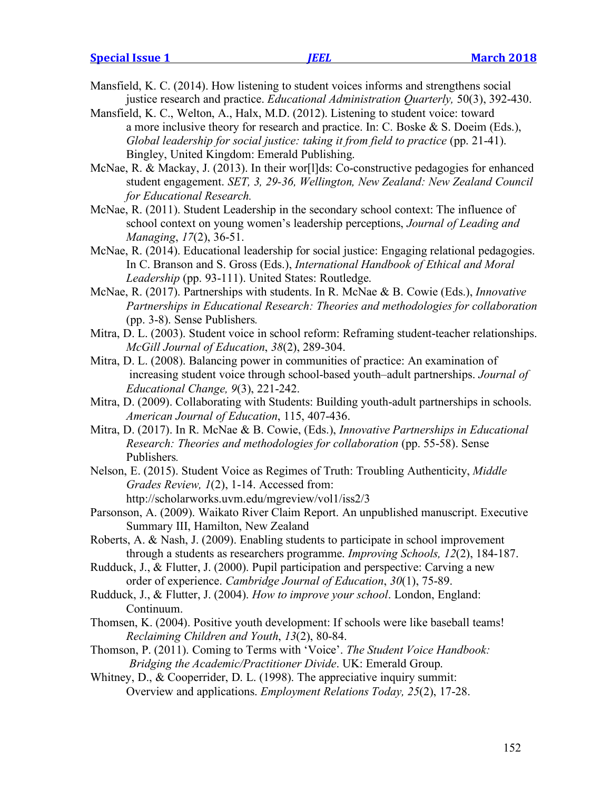- Mansfield, K. C. (2014). How listening to student voices informs and strengthens social justice research and practice. *Educational Administration Quarterly,* 50(3), 392-430.
- Mansfield, K. C., Welton, A., Halx, M.D. (2012). Listening to student voice: toward a more inclusive theory for research and practice. In: C. Boske & S. Doeim (Eds.), *Global leadership for social justice: taking it from field to practice (pp. 21-41).* Bingley, United Kingdom: Emerald Publishing.
- McNae, R. & Mackay, J. (2013). In their wor[l]ds: Co-constructive pedagogies for enhanced student engagement. *SET, 3, 29-36, Wellington, New Zealand: New Zealand Council for Educational Research.*
- McNae, R. (2011). Student Leadership in the secondary school context: The influence of school context on young women's leadership perceptions, *Journal of Leading and Managing*, *17*(2), 36-51.
- McNae, R. (2014). Educational leadership for social justice: Engaging relational pedagogies. In C. Branson and S. Gross (Eds.), *International Handbook of Ethical and Moral Leadership* (pp. 93-111). United States: Routledge.
- McNae, R. (2017). Partnerships with students. In R. McNae & B. Cowie (Eds.), *Innovative Partnerships in Educational Research: Theories and methodologies for collaboration* (pp. 3-8). Sense Publishers*.*
- Mitra, D. L. (2003). Student voice in school reform: Reframing student-teacher relationships. *McGill Journal of Education*, *38*(2), 289-304.
- Mitra, D. L. (2008). Balancing power in communities of practice: An examination of increasing student voice through school-based youth–adult partnerships. *Journal of Educational Change, 9*(3), 221-242.
- Mitra, D. (2009). Collaborating with Students: Building youth-adult partnerships in schools. *American Journal of Education*, 115, 407-436.
- Mitra, D. (2017). In R. McNae & B. Cowie, (Eds.), *Innovative Partnerships in Educational Research: Theories and methodologies for collaboration* (pp. 55-58). Sense Publishers*.*
- Nelson, E. (2015). Student Voice as Regimes of Truth: Troubling Authenticity, *Middle Grades Review, 1*(2), 1-14. Accessed from: http://scholarworks.uvm.edu/mgreview/vol1/iss2/3
- Parsonson, A. (2009). Waikato River Claim Report. An unpublished manuscript. Executive Summary III, Hamilton, New Zealand
- Roberts, A. & Nash, J. (2009). Enabling students to participate in school improvement through a students as researchers programme. *Improving Schools, 12*(2), 184-187.
- Rudduck, J., & Flutter, J. (2000). Pupil participation and perspective: Carving a new order of experience. *Cambridge Journal of Education*, *30*(1), 75-89.
- Rudduck, J., & Flutter, J. (2004). *How to improve your school*. London, England: Continuum.
- Thomsen, K. (2004). Positive youth development: If schools were like baseball teams! *Reclaiming Children and Youth*, *13*(2), 80-84.
- Thomson, P. (2011). Coming to Terms with 'Voice'. *The Student Voice Handbook: Bridging the Academic/Practitioner Divide*. UK: Emerald Group.
- Whitney, D., & Cooperrider, D. L. (1998). The appreciative inquiry summit: Overview and applications. *Employment Relations Today, 25*(2), 17-28.